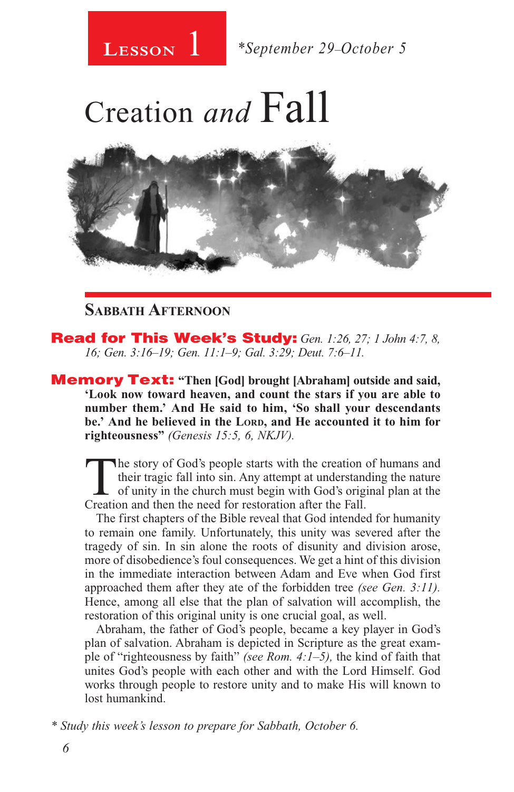# Creation *and* Fall



#### **Sabbath Afternoon**

Read for This Week's Study: *Gen. 1:26, 27; 1 John 4:7, 8, 16; Gen. 3:16–19; Gen. 11:1–9; Gal. 3:29; Deut. 7:6–11.* 

Memory Text: **"Then [God] brought [Abraham] outside and said, 'Look now toward heaven, and count the stars if you are able to number them.' And He said to him, 'So shall your descendants**  be.' And he believed in the LORD, and He accounted it to him for **righteousness"** *(Genesis 15:5, 6, NKJV).* 

The story of God's people starts with the creation of humans and their tragic fall into sin. Any attempt at understanding the nature of unity in the church must begin with God's original plan at the Creation and then the n their tragic fall into sin. Any attempt at understanding the nature Creation and then the need for restoration after the Fall.

The first chapters of the Bible reveal that God intended for humanity to remain one family. Unfortunately, this unity was severed after the tragedy of sin. In sin alone the roots of disunity and division arose, more of disobedience's foul consequences. We get a hint of this division in the immediate interaction between Adam and Eve when God first approached them after they ate of the forbidden tree *(see Gen. 3:11).*  Hence, among all else that the plan of salvation will accomplish, the restoration of this original unity is one crucial goal, as well.

Abraham, the father of God's people, became a key player in God's plan of salvation. Abraham is depicted in Scripture as the great example of "righteousness by faith" *(see Rom. 4:1–5),* the kind of faith that unites God's people with each other and with the Lord Himself. God works through people to restore unity and to make His will known to lost humankind.

*\* Study this week's lesson to prepare for Sabbath, October 6.*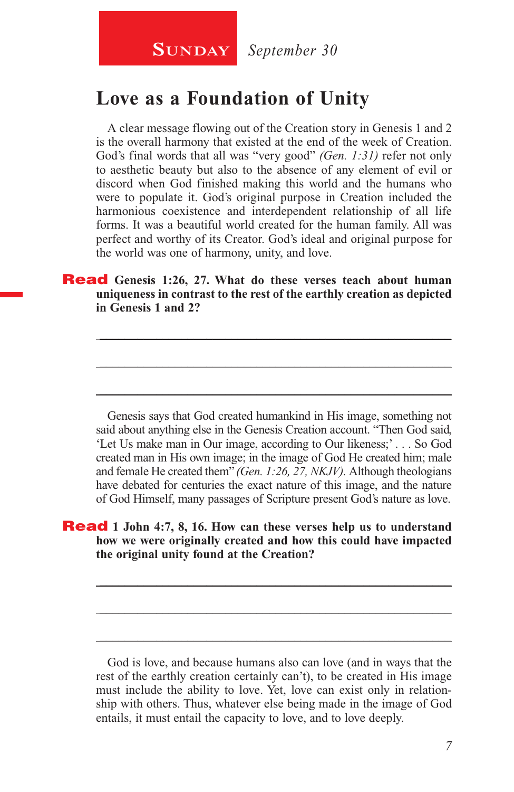### **Love as a Foundation of Unity**

A clear message flowing out of the Creation story in Genesis 1 and 2 is the overall harmony that existed at the end of the week of Creation. God's final words that all was "very good" *(Gen. 1:31)* refer not only to aesthetic beauty but also to the absence of any element of evil or discord when God finished making this world and the humans who were to populate it. God's original purpose in Creation included the harmonious coexistence and interdependent relationship of all life forms. It was a beautiful world created for the human family. All was perfect and worthy of its Creator. God's ideal and original purpose for the world was one of harmony, unity, and love.

#### Read **Genesis 1:26, 27. What do these verses teach about human uniqueness in contrast to the rest of the earthly creation as depicted in Genesis 1 and 2?**

\_\_\_\_\_\_\_\_\_\_\_\_\_\_\_\_\_\_\_\_\_\_\_\_\_\_\_\_\_\_\_\_\_\_\_\_\_\_\_\_\_\_\_\_\_\_\_\_\_\_\_\_\_\_\_\_

\_\_\_\_\_\_\_\_\_\_\_\_\_\_\_\_\_\_\_\_\_\_\_\_\_\_\_\_\_\_\_\_\_\_\_\_\_\_\_\_\_\_\_\_\_\_\_\_\_\_\_\_\_\_\_\_

\_\_\_\_\_\_\_\_\_\_\_\_\_\_\_\_\_\_\_\_\_\_\_\_\_\_\_\_\_\_\_\_\_\_\_\_\_\_\_\_\_\_\_\_\_\_\_\_\_\_\_\_\_\_\_\_

Genesis says that God created humankind in His image, something not said about anything else in the Genesis Creation account. "Then God said, 'Let Us make man in Our image, according to Our likeness;' . . . So God created man in His own image; in the image of God He created him; male and female He created them" *(Gen. 1:26, 27, NKJV).* Although theologians have debated for centuries the exact nature of this image, and the nature of God Himself, many passages of Scripture present God's nature as love.

#### Read **1 John 4:7, 8, 16. How can these verses help us to understand how we were originally created and how this could have impacted the original unity found at the Creation?**

God is love, and because humans also can love (and in ways that the rest of the earthly creation certainly can't), to be created in His image must include the ability to love. Yet, love can exist only in relationship with others. Thus, whatever else being made in the image of God entails, it must entail the capacity to love, and to love deeply.

\_\_\_\_\_\_\_\_\_\_\_\_\_\_\_\_\_\_\_\_\_\_\_\_\_\_\_\_\_\_\_\_\_\_\_\_\_\_\_\_\_\_\_\_\_\_\_\_\_\_\_\_\_\_\_\_

\_\_\_\_\_\_\_\_\_\_\_\_\_\_\_\_\_\_\_\_\_\_\_\_\_\_\_\_\_\_\_\_\_\_\_\_\_\_\_\_\_\_\_\_\_\_\_\_\_\_\_\_\_\_\_\_

\_\_\_\_\_\_\_\_\_\_\_\_\_\_\_\_\_\_\_\_\_\_\_\_\_\_\_\_\_\_\_\_\_\_\_\_\_\_\_\_\_\_\_\_\_\_\_\_\_\_\_\_\_\_\_\_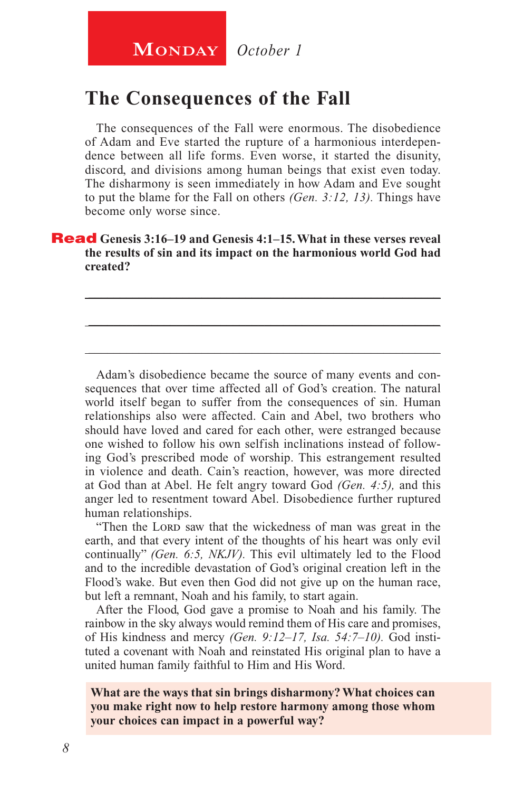### **The Consequences of the Fall**

The consequences of the Fall were enormous. The disobedience of Adam and Eve started the rupture of a harmonious interdependence between all life forms. Even worse, it started the disunity, discord, and divisions among human beings that exist even today. The disharmony is seen immediately in how Adam and Eve sought to put the blame for the Fall on others *(Gen. 3:12, 13).* Things have become only worse since.

#### Read **Genesis 3:16–19 and Genesis 4:1–15. What in these verses reveal the results of sin and its impact on the harmonious world God had created?**

\_\_\_\_\_\_\_\_\_\_\_\_\_\_\_\_\_\_\_\_\_\_\_\_\_\_\_\_\_\_\_\_\_\_\_\_\_\_\_\_\_\_\_\_\_\_\_\_\_\_\_\_\_\_\_\_

\_\_\_\_\_\_\_\_\_\_\_\_\_\_\_\_\_\_\_\_\_\_\_\_\_\_\_\_\_\_\_\_\_\_\_\_\_\_\_\_\_\_\_\_\_\_\_\_\_\_\_\_\_\_\_\_

\_\_\_\_\_\_\_\_\_\_\_\_\_\_\_\_\_\_\_\_\_\_\_\_\_\_\_\_\_\_\_\_\_\_\_\_\_\_\_\_\_\_\_\_\_\_\_\_\_\_\_\_\_\_\_\_

Adam's disobedience became the source of many events and consequences that over time affected all of God's creation. The natural world itself began to suffer from the consequences of sin. Human relationships also were affected. Cain and Abel, two brothers who should have loved and cared for each other, were estranged because one wished to follow his own selfish inclinations instead of following God's prescribed mode of worship. This estrangement resulted in violence and death. Cain's reaction, however, was more directed at God than at Abel. He felt angry toward God *(Gen. 4:5),* and this anger led to resentment toward Abel. Disobedience further ruptured human relationships.

"Then the LORD saw that the wickedness of man was great in the earth, and that every intent of the thoughts of his heart was only evil continually" *(Gen. 6:5, NKJV).* This evil ultimately led to the Flood and to the incredible devastation of God's original creation left in the Flood's wake. But even then God did not give up on the human race, but left a remnant, Noah and his family, to start again.

After the Flood, God gave a promise to Noah and his family. The rainbow in the sky always would remind them of His care and promises, of His kindness and mercy *(Gen. 9:12–17, Isa. 54:7–10).* God instituted a covenant with Noah and reinstated His original plan to have a united human family faithful to Him and His Word.

**What are the ways that sin brings disharmony? What choices can you make right now to help restore harmony among those whom your choices can impact in a powerful way?**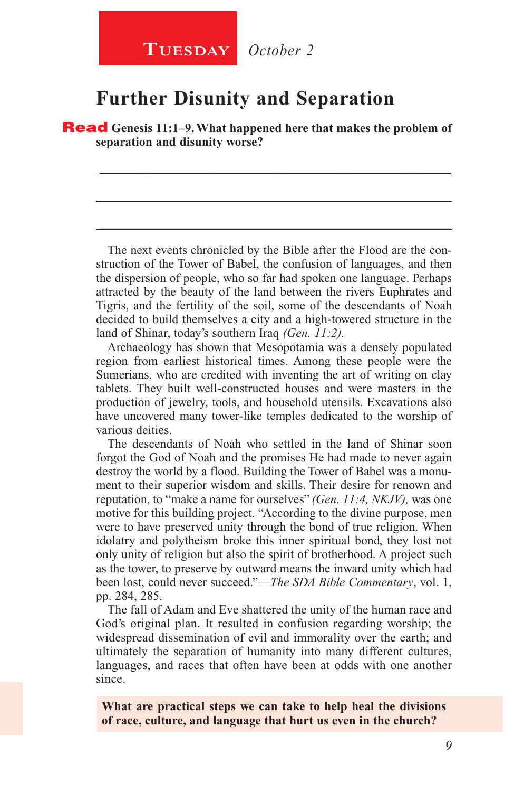#### **Further Disunity and Separation**

Read **Genesis 11:1–9. What happened here that makes the problem of separation and disunity worse?**

\_\_\_\_\_\_\_\_\_\_\_\_\_\_\_\_\_\_\_\_\_\_\_\_\_\_\_\_\_\_\_\_\_\_\_\_\_\_\_\_\_\_\_\_\_\_\_\_\_\_\_\_\_\_\_\_

\_\_\_\_\_\_\_\_\_\_\_\_\_\_\_\_\_\_\_\_\_\_\_\_\_\_\_\_\_\_\_\_\_\_\_\_\_\_\_\_\_\_\_\_\_\_\_\_\_\_\_\_\_\_\_\_

\_\_\_\_\_\_\_\_\_\_\_\_\_\_\_\_\_\_\_\_\_\_\_\_\_\_\_\_\_\_\_\_\_\_\_\_\_\_\_\_\_\_\_\_\_\_\_\_\_\_\_\_\_\_\_\_

The next events chronicled by the Bible after the Flood are the construction of the Tower of Babel, the confusion of languages, and then the dispersion of people, who so far had spoken one language. Perhaps attracted by the beauty of the land between the rivers Euphrates and Tigris, and the fertility of the soil, some of the descendants of Noah decided to build themselves a city and a high-towered structure in the land of Shinar, today's southern Iraq *(Gen. 11:2).*

Archaeology has shown that Mesopotamia was a densely populated region from earliest historical times. Among these people were the Sumerians, who are credited with inventing the art of writing on clay tablets. They built well-constructed houses and were masters in the production of jewelry, tools, and household utensils. Excavations also have uncovered many tower-like temples dedicated to the worship of various deities.

The descendants of Noah who settled in the land of Shinar soon forgot the God of Noah and the promises He had made to never again destroy the world by a flood. Building the Tower of Babel was a monument to their superior wisdom and skills. Their desire for renown and reputation, to "make a name for ourselves" *(Gen. 11:4, NKJV),* was one motive for this building project. "According to the divine purpose, men were to have preserved unity through the bond of true religion. When idolatry and polytheism broke this inner spiritual bond, they lost not only unity of religion but also the spirit of brotherhood. A project such as the tower, to preserve by outward means the inward unity which had been lost, could never succeed."—*The SDA Bible Commentary*, vol. 1, pp. 284, 285.

The fall of Adam and Eve shattered the unity of the human race and God's original plan. It resulted in confusion regarding worship; the widespread dissemination of evil and immorality over the earth; and ultimately the separation of humanity into many different cultures, languages, and races that often have been at odds with one another since.

**What are practical steps we can take to help heal the divisions of race, culture, and language that hurt us even in the church?**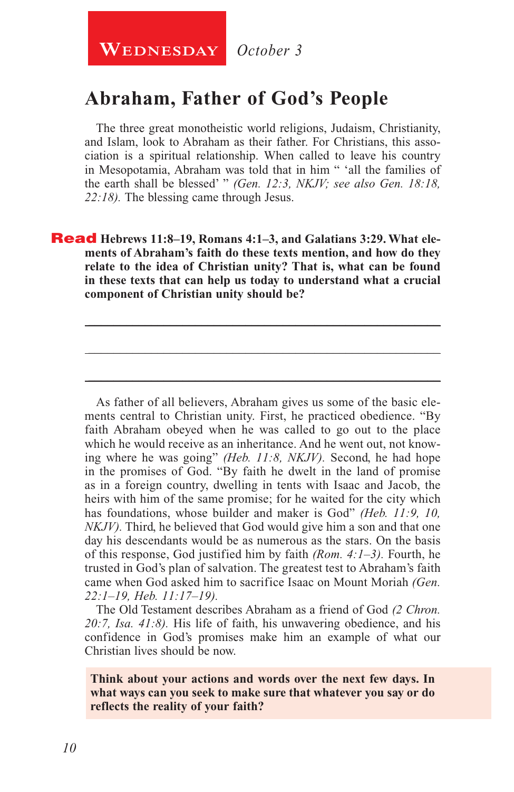### **Abraham, Father of God's People**

The three great monotheistic world religions, Judaism, Christianity, and Islam, look to Abraham as their father. For Christians, this association is a spiritual relationship. When called to leave his country in Mesopotamia, Abraham was told that in him " 'all the families of the earth shall be blessed' " *(Gen. 12:3, NKJV; see also Gen. 18:18, 22:18).* The blessing came through Jesus.

Read **Hebrews 11:8–19, Romans 4:1–3, and Galatians 3:29. What elements of Abraham's faith do these texts mention, and how do they relate to the idea of Christian unity? That is, what can be found in these texts that can help us today to understand what a crucial component of Christian unity should be?**

\_\_\_\_\_\_\_\_\_\_\_\_\_\_\_\_\_\_\_\_\_\_\_\_\_\_\_\_\_\_\_\_\_\_\_\_\_\_\_\_\_\_\_\_\_\_\_\_\_\_\_\_\_\_\_\_

\_\_\_\_\_\_\_\_\_\_\_\_\_\_\_\_\_\_\_\_\_\_\_\_\_\_\_\_\_\_\_\_\_\_\_\_\_\_\_\_\_\_\_\_\_\_\_\_\_\_\_\_\_\_\_\_

\_\_\_\_\_\_\_\_\_\_\_\_\_\_\_\_\_\_\_\_\_\_\_\_\_\_\_\_\_\_\_\_\_\_\_\_\_\_\_\_\_\_\_\_\_\_\_\_\_\_\_\_\_\_\_\_

As father of all believers, Abraham gives us some of the basic elements central to Christian unity. First, he practiced obedience. "By faith Abraham obeyed when he was called to go out to the place which he would receive as an inheritance. And he went out, not knowing where he was going" *(Heb. 11:8, NKJV).* Second, he had hope in the promises of God. "By faith he dwelt in the land of promise as in a foreign country, dwelling in tents with Isaac and Jacob, the heirs with him of the same promise; for he waited for the city which has foundations, whose builder and maker is God" (Heb. 11:9, 10, *NKJV*). Third, he believed that God would give him a son and that one day his descendants would be as numerous as the stars. On the basis of this response, God justified him by faith *(Rom. 4:1–3).* Fourth, he trusted in God's plan of salvation. The greatest test to Abraham's faith came when God asked him to sacrifice Isaac on Mount Moriah *(Gen. 22:1–19, Heb. 11:17–19).* 

The Old Testament describes Abraham as a friend of God *(2 Chron. 20:7, Isa. 41:8).* His life of faith, his unwavering obedience, and his confidence in God's promises make him an example of what our Christian lives should be now.

**Think about your actions and words over the next few days. In what ways can you seek to make sure that whatever you say or do reflects the reality of your faith?**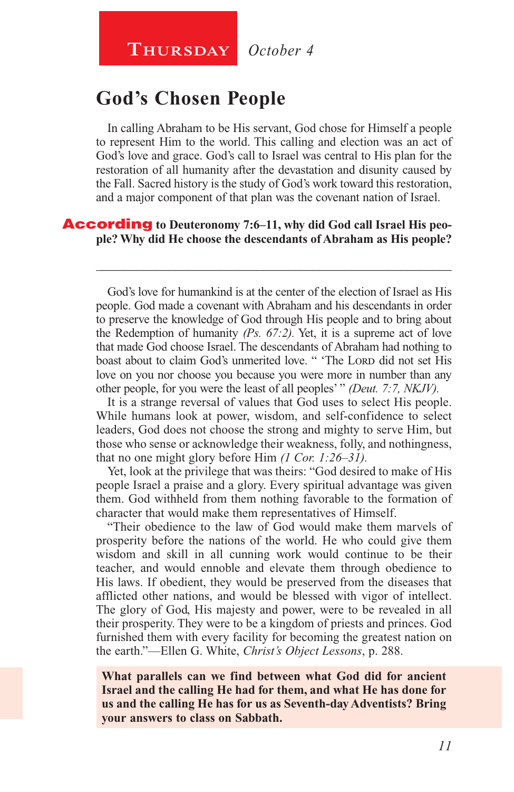### **THURSDAY** October 4

### **God's Chosen People**

In calling Abraham to be His servant, God chose for Himself a people to represent Him to the world. This calling and election was an act of God's love and grace. God's call to Israel was central to His plan for the restoration of all humanity after the devastation and disunity caused by the Fall. Sacred history is the study of God's work toward this restoration, and a major component of that plan was the covenant nation of Israel.

#### According **to Deuteronomy 7:6–11, why did God call Israel His people? Why did He choose the descendants of Abraham as His people?**

God's love for humankind is at the center of the election of Israel as His people. God made a covenant with Abraham and his descendants in order to preserve the knowledge of God through His people and to bring about the Redemption of humanity *(Ps. 67:2).* Yet, it is a supreme act of love that made God choose Israel. The descendants of Abraham had nothing to boast about to claim God's unmerited love. " 'The Lorp did not set His love on you nor choose you because you were more in number than any other people, for you were the least of all peoples' " *(Deut. 7:7, NKJV).*

\_\_\_\_\_\_\_\_\_\_\_\_\_\_\_\_\_\_\_\_\_\_\_\_\_\_\_\_\_\_\_\_\_\_\_\_\_\_\_\_\_\_\_\_\_\_\_\_\_\_\_\_\_\_\_\_

It is a strange reversal of values that God uses to select His people. While humans look at power, wisdom, and self-confidence to select leaders, God does not choose the strong and mighty to serve Him, but those who sense or acknowledge their weakness, folly, and nothingness, that no one might glory before Him *(1 Cor. 1:26–31).*

Yet, look at the privilege that was theirs: "God desired to make of His people Israel a praise and a glory. Every spiritual advantage was given them. God withheld from them nothing favorable to the formation of character that would make them representatives of Himself.

"Their obedience to the law of God would make them marvels of prosperity before the nations of the world. He who could give them wisdom and skill in all cunning work would continue to be their teacher, and would ennoble and elevate them through obedience to His laws. If obedient, they would be preserved from the diseases that afflicted other nations, and would be blessed with vigor of intellect. The glory of God, His majesty and power, were to be revealed in all their prosperity. They were to be a kingdom of priests and princes. God furnished them with every facility for becoming the greatest nation on the earth."—Ellen G. White, *Christ's Object Lessons*, p. 288.

**What parallels can we find between what God did for ancient Israel and the calling He had for them, and what He has done for us and the calling He has for us as Seventh-day Adventists? Bring your answers to class on Sabbath.**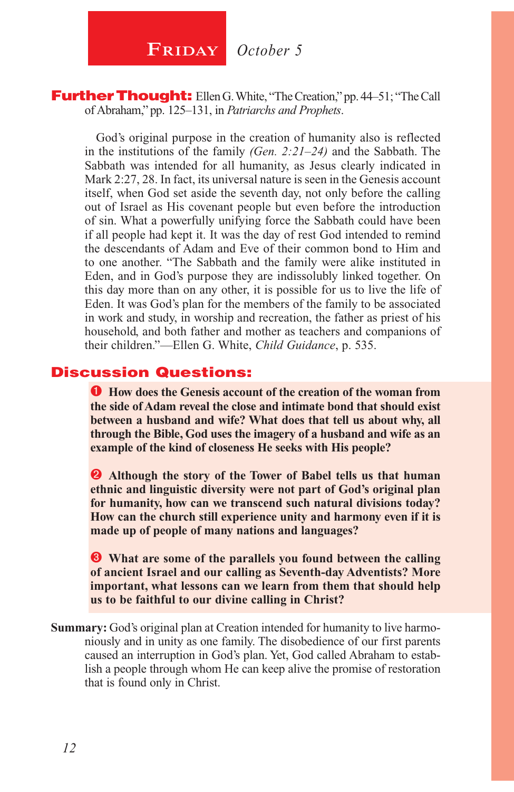**FRIDAY** October 5

#### **Further Thought:** Ellen G. White, "The Creation," pp. 44–51; "The Call of Abraham," pp. 125–131, in *Patriarchs and Prophets*.

God's original purpose in the creation of humanity also is reflected in the institutions of the family *(Gen. 2:21–24)* and the Sabbath. The Sabbath was intended for all humanity, as Jesus clearly indicated in Mark 2:27, 28. In fact, its universal nature is seen in the Genesis account itself, when God set aside the seventh day, not only before the calling out of Israel as His covenant people but even before the introduction of sin. What a powerfully unifying force the Sabbath could have been if all people had kept it. It was the day of rest God intended to remind the descendants of Adam and Eve of their common bond to Him and to one another. "The Sabbath and the family were alike instituted in Eden, and in God's purpose they are indissolubly linked together. On this day more than on any other, it is possible for us to live the life of Eden. It was God's plan for the members of the family to be associated in work and study, in worship and recreation, the father as priest of his household, and both father and mother as teachers and companions of their children."—Ellen G. White, *Child Guidance*, p. 535.

#### Discussion Questions:

**How does the Genesis account of the creation of the woman from the side of Adam reveal the close and intimate bond that should exist between a husband and wife? What does that tell us about why, all through the Bible, God uses the imagery of a husband and wife as an example of the kind of closeness He seeks with His people?**

**Although the story of the Tower of Babel tells us that human ethnic and linguistic diversity were not part of God's original plan for humanity, how can we transcend such natural divisions today? How can the church still experience unity and harmony even if it is made up of people of many nations and languages?**

 **What are some of the parallels you found between the calling of ancient Israel and our calling as Seventh-day Adventists? More important, what lessons can we learn from them that should help us to be faithful to our divine calling in Christ?**

**Summary:** God's original plan at Creation intended for humanity to live harmoniously and in unity as one family. The disobedience of our first parents caused an interruption in God's plan. Yet, God called Abraham to establish a people through whom He can keep alive the promise of restoration that is found only in Christ.